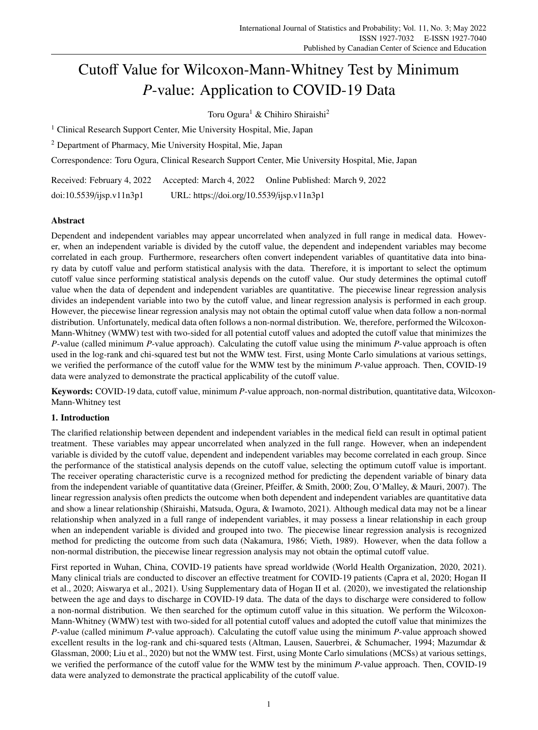# Cutoff Value for Wilcoxon-Mann-Whitney Test by Minimum *P*-value: Application to COVID-19 Data

Toru Ogura<sup>1</sup> & Chihiro Shiraishi<sup>2</sup>

<sup>1</sup> Clinical Research Support Center, Mie University Hospital, Mie, Japan

<sup>2</sup> Department of Pharmacy, Mie University Hospital, Mie, Japan

Correspondence: Toru Ogura, Clinical Research Support Center, Mie University Hospital, Mie, Japan

Received: February 4, 2022 Accepted: March 4, 2022 Online Published: March 9, 2022

doi:10.5539/ijsp.v11n3p1 URL: https://doi.org/10.5539/ijsp.v11n3p1

## Abstract

Dependent and independent variables may appear uncorrelated when analyzed in full range in medical data. However, when an independent variable is divided by the cutoff value, the dependent and independent variables may become correlated in each group. Furthermore, researchers often convert independent variables of quantitative data into binary data by cutoff value and perform statistical analysis with the data. Therefore, it is important to select the optimum cutoff value since performing statistical analysis depends on the cutoff value. Our study determines the optimal cutoff value when the data of dependent and independent variables are quantitative. The piecewise linear regression analysis divides an independent variable into two by the cutoff value, and linear regression analysis is performed in each group. However, the piecewise linear regression analysis may not obtain the optimal cutoff value when data follow a non-normal distribution. Unfortunately, medical data often follows a non-normal distribution. We, therefore, performed the Wilcoxon-Mann-Whitney (WMW) test with two-sided for all potential cutoff values and adopted the cutoff value that minimizes the *P*-value (called minimum *P*-value approach). Calculating the cutoff value using the minimum *P*-value approach is often used in the log-rank and chi-squared test but not the WMW test. First, using Monte Carlo simulations at various settings, we verified the performance of the cutoff value for the WMW test by the minimum *P*-value approach. Then, COVID-19 data were analyzed to demonstrate the practical applicability of the cutoff value.

Keywords: COVID-19 data, cutoff value, minimum *P*-value approach, non-normal distribution, quantitative data, Wilcoxon-Mann-Whitney test

# 1. Introduction

The clarified relationship between dependent and independent variables in the medical field can result in optimal patient treatment. These variables may appear uncorrelated when analyzed in the full range. However, when an independent variable is divided by the cutoff value, dependent and independent variables may become correlated in each group. Since the performance of the statistical analysis depends on the cutoff value, selecting the optimum cutoff value is important. The receiver operating characteristic curve is a recognized method for predicting the dependent variable of binary data from the independent variable of quantitative data (Greiner, Pfeiffer, & Smith, 2000; Zou, O'Malley, & Mauri, 2007). The linear regression analysis often predicts the outcome when both dependent and independent variables are quantitative data and show a linear relationship (Shiraishi, Matsuda, Ogura, & Iwamoto, 2021). Although medical data may not be a linear relationship when analyzed in a full range of independent variables, it may possess a linear relationship in each group when an independent variable is divided and grouped into two. The piecewise linear regression analysis is recognized method for predicting the outcome from such data (Nakamura, 1986; Vieth, 1989). However, when the data follow a non-normal distribution, the piecewise linear regression analysis may not obtain the optimal cutoff value.

First reported in Wuhan, China, COVID-19 patients have spread worldwide (World Health Organization, 2020, 2021). Many clinical trials are conducted to discover an effective treatment for COVID-19 patients (Capra et al, 2020; Hogan II et al., 2020; Aiswarya et al., 2021). Using Supplementary data of Hogan II et al. (2020), we investigated the relationship between the age and days to discharge in COVID-19 data. The data of the days to discharge were considered to follow a non-normal distribution. We then searched for the optimum cutoff value in this situation. We perform the Wilcoxon-Mann-Whitney (WMW) test with two-sided for all potential cutoff values and adopted the cutoff value that minimizes the *P*-value (called minimum *P*-value approach). Calculating the cutoff value using the minimum *P*-value approach showed excellent results in the log-rank and chi-squared tests (Altman, Lausen, Sauerbrei, & Schumacher, 1994; Mazumdar & Glassman, 2000; Liu et al., 2020) but not the WMW test. First, using Monte Carlo simulations (MCSs) at various settings, we verified the performance of the cutoff value for the WMW test by the minimum *P*-value approach. Then, COVID-19 data were analyzed to demonstrate the practical applicability of the cutoff value.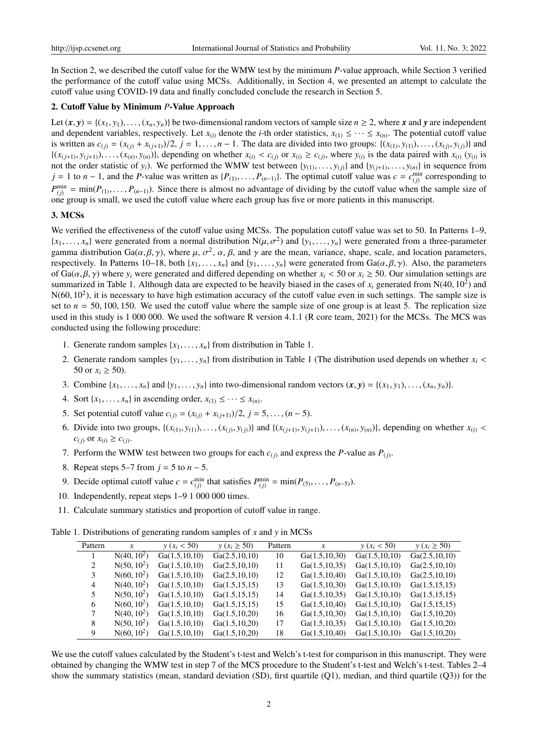In Section 2, we described the cutoff value for the WMW test by the minimum *P*-value approach, while Section 3 verified the performance of the cutoff value using MCSs. Additionally, in Section 4, we presented an attempt to calculate the cutoff value using COVID-19 data and finally concluded conclude the research in Section 5.

### 2. Cutoff Value by Minimum *P*-Value Approach

Let  $(x, y) = \{(x_1, y_1), \dots, (x_n, y_n)\}\$ be two-dimensional random vectors of sample size  $n \ge 2$ , where *x* and *y* are independent and dependent variables, respectively. Let  $x_{(i)}$  denote the *i*-th order statistics,  $x_{(1)} \leq \cdots \leq x_{(n)}$ . The potential cutoff value is written as  $c_{(j)} = (x_{(j)} + x_{(j+1)})/2$ ,  $j = 1, ..., n-1$ . The data are divided into two groups:  $\{(x_{(1)}, y_{(1)}), ..., (x_{(j)}, y_{(j)})\}$  and  $\{(x_{(j+1)}, y_{(j+1)}), \ldots, (x_{(n)}, y_{(n)})\}$ , depending on whether  $x_{(i)} < c_{(j)}$  or  $x_{(i)} \ge c_{(j)}$ , where  $y_{(i)}$  is the data paired with  $x_{(i)} (y_{(i)})$  is not the order statistic of  $y_i$ ). We performed the WMW test between  $\{y_{(1)}, \ldots, y_{(j)}\}$  and  $\{y_{(j+1)}, \ldots, y_{(n)}\}$  in sequence from *j* = 1 to *n* − 1, and the *P*-value was written as { $P_{(1)}, \ldots, P_{(n-1)}$ }. The optimal cutoff value was  $c = c_{(j)}^{\min}$  corresponding to  $P_{(j)}^{\min} = \min(P_{(1)}, \ldots, P_{(n-1)})$ . Since there is almost no advantage of dividing by the cutoff value when the sample size of one group is small, we used the cutoff value where each group has five or more patients in this manuscript.

## 3. MCSs

We verified the effectiveness of the cutoff value using MCSs. The population cutoff value was set to 50. In Patterns 1–9,  ${x_1, \ldots, x_n}$  were generated from a normal distribution  $N(\mu, \sigma^2)$  and  ${y_1, \ldots, y_n}$  were generated from a three-parameter gamma distribution Ga( $\alpha, \beta, \gamma$ ), where  $\mu$ ,  $\sigma^2$ ,  $\alpha$ ,  $\beta$ , and  $\gamma$  are the mean, variance, shape, scale, and location parameters, respectively. In Patterns 10–18, both  $\{x_1, \ldots, x_n\}$  and  $\{y_1, \ldots, y_n\}$  were generated from Ga( $\alpha, \beta, \gamma$ ). Also, the parameters of Ga( $\alpha, \beta, \gamma$ ) where  $y_i$  were generated and differed depending on whether  $x_i < 50$  or  $x_i \ge 50$ . Our simulation settings are summarized in Table 1. Although data are expected to be heavily biased in the cases of  $x_i$  generated from  $N(40, 10^2)$  and  $N(60, 10^2)$ , it is necessary to have high estimation accuracy of the cutoff value even in such settings. The sample size is set to  $n = 50, 100, 150$ . We used the cutoff value where the sample size of one group is at least 5. The replication size used in this study is 1 000 000. We used the software R version 4.1.1 (R core team, 2021) for the MCSs. The MCS was conducted using the following procedure:

- 1. Generate random samples  $\{x_1, \ldots, x_n\}$  from distribution in Table 1.
- 2. Generate random samples  $\{y_1, \ldots, y_n\}$  from distribution in Table 1 (The distribution used depends on whether  $x_i$  < 50 or  $x_i \ge 50$ ).
- 3. Combine  $\{x_1, \ldots, x_n\}$  and  $\{y_1, \ldots, y_n\}$  into two-dimensional random vectors  $(\mathbf{x}, \mathbf{y}) = \{(x_1, y_1), \ldots, (x_n, y_n)\}.$
- 4. Sort  $\{x_1, \ldots, x_n\}$  in ascending order,  $x_{(1)} \leq \cdots \leq x_{(n)}$ .
- 5. Set potential cutoff value  $c_{(i)} = (x_{(i)} + x_{(i+1)})/2$ ,  $j = 5, ..., (n-5)$ .
- 6. Divide into two groups,  $\{(x_{(1)}, y_{(1)}), \ldots, (x_{(j)}, y_{(j)})\}$  and  $\{(x_{(j+1)}, y_{(j+1)}), \ldots, (x_{(n)}, y_{(n)})\}$ , depending on whether  $x_{(i)}$  $c_{(j)}$  or  $x_{(i)} \ge c_{(j)}$ .
- 7. Perform the WMW test between two groups for each  $c_{(j)}$  and express the *P*-value as  $P_{(j)}$ .
- 8. Repeat steps 5–7 from *j* = 5 to *n* − 5.
- 9. Decide optimal cutoff value  $c = c_{(j)}^{\min}$  that satisfies  $P_{(j)}^{\min} = \min(P_{(5)}, \ldots, P_{(n-5)})$ .
- 10. Independently, repeat steps 1–9 1 000 000 times.
- 11. Calculate summary statistics and proportion of cutoff value in range.

Table 1. Distributions of generating random samples of *x* and *y* in MCSs

| Pattern | $\boldsymbol{x}$ | $y(x_i < 50)$   | $y(x_i \ge 50)$ | Pattern | $\mathcal{X}$   | $y(x_i < 50)$   | $y(x_i \ge 50)$ |
|---------|------------------|-----------------|-----------------|---------|-----------------|-----------------|-----------------|
|         | $N(40, 10^2)$    | Ga(1.5, 10, 10) | Ga(2.5, 10, 10) | 10      | Ga(1.5, 10, 30) | Ga(1.5, 10, 10) | Ga(2.5, 10, 10) |
| 2       | $N(50, 10^2)$    | Ga(1.5, 10, 10) | Ga(2.5, 10, 10) | 11      | Ga(1.5, 10.35)  | Ga(1.5, 10, 10) | Ga(2.5, 10, 10) |
| 3       | $N(60, 10^2)$    | Ga(1.5, 10, 10) | Ga(2.5, 10, 10) | 12      | Ga(1.5, 10, 40) | Ga(1.5, 10, 10) | Ga(2.5, 10, 10) |
| 4       | $N(40, 10^2)$    | Ga(1.5, 10, 10) | Ga(1.5, 15, 15) | 13      | Ga(1.5, 10, 30) | Ga(1.5, 10, 10) | Ga(1.5, 15, 15) |
| 5       | $N(50, 10^2)$    | Ga(1.5, 10, 10) | Ga(1.5, 15, 15) | 14      | Ga(1.5, 10.35)  | Ga(1.5, 10, 10) | Ga(1.5, 15, 15) |
| 6       | $N(60, 10^2)$    | Ga(1.5, 10, 10) | Ga(1.5, 15, 15) | 15      | Ga(1.5, 10, 40) | Ga(1.5, 10, 10) | Ga(1.5, 15, 15) |
| 7       | $N(40, 10^2)$    | Ga(1.5, 10, 10) | Ga(1.5, 10, 20) | 16      | Ga(1.5, 10, 30) | Ga(1.5, 10, 10) | Ga(1.5, 10, 20) |
| 8       | $N(50, 10^2)$    | Ga(1.5, 10, 10) | Ga(1.5, 10, 20) | 17      | Ga(1.5, 10.35)  | Ga(1.5, 10, 10) | Ga(1.5, 10, 20) |
| 9       | $N(60, 10^2)$    | Ga(1.5, 10, 10) | Ga(1.5, 10, 20) | 18      | Ga(1.5, 10, 40) | Ga(1.5, 10, 10) | Ga(1.5, 10, 20) |

We use the cutoff values calculated by the Student's t-test and Welch's t-test for comparison in this manuscript. They were obtained by changing the WMW test in step 7 of the MCS procedure to the Student's t-test and Welch's t-test. Tables 2–4 show the summary statistics (mean, standard deviation (SD), first quartile (Q1), median, and third quartile (Q3)) for the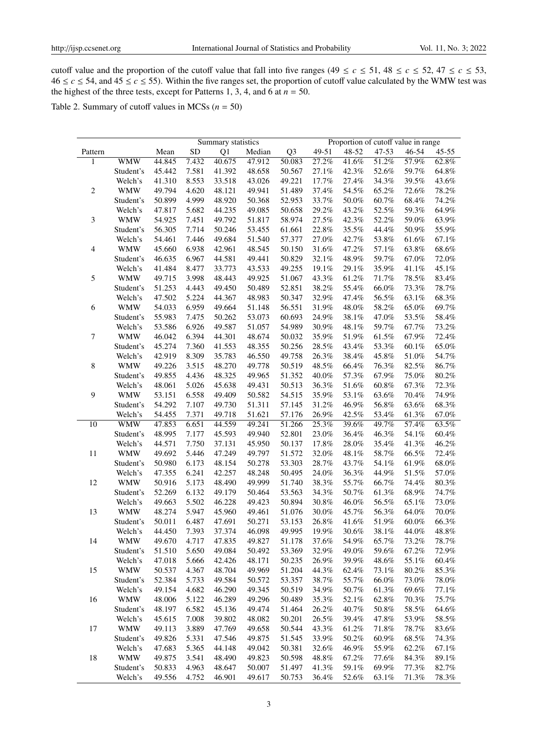cutoff value and the proportion of the cutoff value that fall into five ranges (49  $\leq c \leq 51$ , 48  $\leq c \leq 52$ , 47  $\leq c \leq 53$ ,  $46 \le c \le 54$ , and  $45 \le c \le 55$ ). Within the five ranges set, the proportion of cutoff value calculated by the WMW test was the highest of the three tests, except for Patterns 1, 3, 4, and 6 at  $n = 50$ .

Table 2. Summary of cutoff values in MCSs  $(n = 50)$ 

|                |            |        |           | Summary statistics |        |                |       | Proportion of cutoff value in range |          |          |           |
|----------------|------------|--------|-----------|--------------------|--------|----------------|-------|-------------------------------------|----------|----------|-----------|
| Pattern        |            | Mean   | <b>SD</b> | Q1                 | Median | Q <sub>3</sub> | 49-51 | 48-52                               | 47-53    | 46-54    | $45 - 55$ |
| 1              | WMW        | 44.845 | 7.432     | 40.675             | 47.912 | 50.083         | 27.2% | 41.6%                               | 51.2%    | 57.9%    | 62.8%     |
|                | Student's  | 45.442 | 7.581     | 41.392             | 48.658 | 50.567         | 27.1% | 42.3%                               | 52.6%    | 59.7%    | 64.8%     |
|                | Welch's    | 41.310 | 8.553     | 33.518             | 43.026 | 49.221         | 17.7% | 27.4%                               | 34.3%    | 39.5%    | 43.6%     |
| $\sqrt{2}$     | <b>WMW</b> | 49.794 | 4.620     | 48.121             | 49.941 | 51.489         | 37.4% | 54.5%                               | 65.2%    | 72.6%    | 78.2%     |
|                | Student's  | 50.899 | 4.999     | 48.920             | 50.368 | 52.953         | 33.7% | 50.0%                               | 60.7%    | 68.4%    | 74.2%     |
|                | Welch's    | 47.817 | 5.682     | 44.235             | 49.085 | 50.658         | 29.2% | 43.2%                               | 52.5%    | 59.3%    | 64.9%     |
| $\mathfrak{Z}$ | <b>WMW</b> | 54.925 | 7.451     | 49.792             | 51.817 | 58.974         | 27.5% | 42.3%                               | 52.2%    | 59.0%    | 63.9%     |
|                | Student's  | 56.305 | 7.714     | 50.246             | 53.455 | 61.661         | 22.8% | 35.5%                               | 44.4%    | 50.9%    | 55.9%     |
|                | Welch's    | 54.461 | 7.446     | 49.684             | 51.540 | 57.377         | 27.0% | 42.7%                               | 53.8%    | 61.6%    | 67.1%     |
| 4              | <b>WMW</b> | 45.660 | 6.938     | 42.961             | 48.545 | 50.150         | 31.6% | 47.2%                               | 57.1%    | 63.8%    | 68.6%     |
|                | Student's  | 46.635 | 6.967     | 44.581             | 49.441 | 50.829         | 32.1% | 48.9%                               | 59.7%    | 67.0%    | 72.0%     |
|                | Welch's    | 41.484 | 8.477     | 33.773             | 43.533 | 49.255         | 19.1% | 29.1%                               | 35.9%    | 41.1%    | 45.1%     |
| 5              | <b>WMW</b> | 49.715 | 3.998     | 48.443             | 49.925 | 51.067         | 43.3% | 61.2%                               | 71.7%    | 78.5%    | 83.4%     |
|                | Student's  | 51.253 | 4.443     | 49.450             | 50.489 | 52.851         | 38.2% | 55.4%                               | 66.0%    | 73.3%    | 78.7%     |
|                | Welch's    | 47.502 | 5.224     | 44.367             | 48.983 | 50.347         | 32.9% | 47.4%                               | 56.5%    | 63.1%    | 68.3%     |
| 6              | <b>WMW</b> | 54.033 | 6.959     | 49.664             | 51.148 | 56.551         | 31.9% | 48.0%                               | 58.2%    | 65.0%    | 69.7%     |
|                | Student's  | 55.983 | 7.475     | 50.262             | 53.073 | 60.693         | 24.9% | 38.1%                               | 47.0%    | 53.5%    | 58.4%     |
|                | Welch's    | 53.586 | 6.926     | 49.587             | 51.057 | 54.989         | 30.9% | 48.1%                               | 59.7%    | 67.7%    | 73.2%     |
| $\tau$         | <b>WMW</b> | 46.042 | 6.394     | 44.301             | 48.674 | 50.032         | 35.9% | 51.9%                               | 61.5%    | 67.9%    | 72.4%     |
|                | Student's  | 45.274 | 7.360     | 41.553             | 48.355 | 50.256         | 28.5% | 43.4%                               | 53.3%    | 60.1%    | 65.0%     |
|                | Welch's    | 42.919 | 8.309     | 35.783             | 46.550 | 49.758         | 26.3% | 38.4%                               | 45.8%    | 51.0%    | 54.7%     |
| 8              | <b>WMW</b> | 49.226 | 3.515     | 48.270             | 49.778 | 50.519         | 48.5% | 66.4%                               | 76.3%    | 82.5%    | 86.7%     |
|                | Student's  | 49.855 | 4.436     | 48.325             | 49.965 | 51.352         | 40.0% | 57.3%                               | 67.9%    | 75.0%    | $80.2\%$  |
|                | Welch's    | 48.061 | 5.026     | 45.638             | 49.431 | 50.513         | 36.3% | 51.6%                               | 60.8%    | 67.3%    | 72.3%     |
| 9              | <b>WMW</b> | 53.151 | 6.558     | 49.409             | 50.582 | 54.515         | 35.9% | 53.1%                               | 63.6%    | 70.4%    | 74.9%     |
|                | Student's  | 54.292 | 7.107     | 49.730             | 51.311 | 57.145         | 31.2% | 46.9%                               | 56.8%    | 63.6%    | 68.3%     |
|                | Welch's    | 54.455 | 7.371     | 49.718             | 51.621 | 57.176         | 26.9% | 42.5%                               | 53.4%    | 61.3%    | 67.0%     |
| 10             | <b>WMW</b> | 47.853 | 6.651     | 44.559             | 49.241 | 51.266         | 25.3% | 39.6%                               | 49.7%    | 57.4%    | 63.5%     |
|                | Student's  | 48.995 | 7.177     | 45.593             | 49.940 | 52.801         | 23.0% | 36.4%                               | 46.3%    | 54.1%    | 60.4%     |
|                | Welch's    | 44.571 | 7.750     | 37.131             | 45.950 | 50.137         | 17.8% | 28.0%                               | 35.4%    | 41.3%    | 46.2%     |
| 11             | <b>WMW</b> | 49.692 | 5.446     | 47.249             | 49.797 | 51.572         | 32.0% | 48.1%                               | 58.7%    | 66.5%    | 72.4%     |
|                | Student's  | 50.980 | 6.173     | 48.154             | 50.278 | 53.303         | 28.7% | 43.7%                               | 54.1%    | 61.9%    | $68.0\%$  |
|                | Welch's    | 47.355 | 6.241     | 42.257             | 48.248 | 50.495         | 24.0% | 36.3%                               | 44.9%    | 51.5%    | 57.0%     |
| 12             | <b>WMW</b> | 50.916 | 5.173     | 48.490             | 49.999 | 51.740         | 38.3% | 55.7%                               | 66.7%    | 74.4%    | 80.3%     |
|                | Student's  | 52.269 | 6.132     | 49.179             | 50.464 | 53.563         | 34.3% | 50.7%                               | 61.3%    | 68.9%    | 74.7%     |
|                | Welch's    | 49.663 | 5.502     | 46.228             | 49.423 | 50.894         | 30.8% | 46.0%                               | 56.5%    | 65.1%    | 73.0%     |
| 13             | <b>WMW</b> | 48.274 | 5.947     | 45.960             | 49.461 | 51.076         | 30.0% | 45.7%                               | 56.3%    | 64.0%    | 70.0%     |
|                | Student's  | 50.011 | 6.487     | 47.691             | 50.271 | 53.153         | 26.8% | 41.6%                               | 51.9%    | 60.0%    | 66.3%     |
|                | Welch's    | 44.450 | 7.393     | 37.374             | 46.098 | 49.995         | 19.9% | 30.6%                               | 38.1%    | 44.0%    | 48.8%     |
| 14             | WMW        | 49.670 | 4.717     | 47.835             | 49.827 | 51.178         | 37.6% | 54.9%                               | 65.7%    | $73.2\%$ | 78.7%     |
|                | Student's  | 51.510 | 5.650     | 49.084             | 50.492 | 53.369         | 32.9% | 49.0%                               | $59.6\%$ | 67.2%    | 72.9%     |
|                | Welch's    | 47.018 | 5.666     | 42.426             | 48.171 | 50.235         | 26.9% | 39.9%                               | 48.6%    | 55.1%    | 60.4%     |
| 15             | <b>WMW</b> | 50.537 | 4.367     | 48.704             | 49.969 | 51.204         | 44.3% | 62.4%                               | 73.1%    | 80.2%    | 85.3%     |
|                | Student's  | 52.384 | 5.733     | 49.584             | 50.572 | 53.357         | 38.7% | 55.7%                               | 66.0%    | 73.0%    | 78.0%     |
|                | Welch's    | 49.154 | 4.682     | 46.290             | 49.345 | 50.519         | 34.9% | 50.7%                               | 61.3%    | 69.6%    | 77.1%     |
| 16             | <b>WMW</b> | 48.006 | 5.122     | 46.289             | 49.296 | 50.489         | 35.3% | 52.1%                               | 62.8%    | 70.3%    | 75.7%     |
|                | Student's  | 48.197 | 6.582     | 45.136             | 49.474 | 51.464         | 26.2% | 40.7%                               | 50.8%    | 58.5%    | 64.6%     |
|                | Welch's    | 45.615 | 7.008     | 39.802             | 48.082 | 50.201         | 26.5% | 39.4%                               | 47.8%    | 53.9%    | 58.5%     |
| 17             | <b>WMW</b> | 49.113 | 3.889     | 47.769             | 49.658 | 50.544         | 43.3% | 61.2%                               | 71.8%    | 78.7%    | 83.6%     |
|                | Student's  | 49.826 | 5.331     | 47.546             | 49.875 | 51.545         | 33.9% | 50.2%                               | 60.9%    | 68.5%    | 74.3%     |
|                | Welch's    | 47.683 | 5.365     | 44.148             | 49.042 | 50.381         | 32.6% | 46.9%                               | 55.9%    | 62.2%    | 67.1%     |
| 18             | <b>WMW</b> | 49.875 | 3.541     | 48.490             | 49.823 | 50.598         | 48.8% | 67.2%                               | 77.6%    | 84.3%    | 89.1%     |
|                | Student's  | 50.833 | 4.963     | 48.647             | 50.007 | 51.497         | 41.3% | 59.1%                               | 69.9%    | 77.3%    | 82.7%     |
|                | Welch's    | 49.556 | 4.752     | 46.901             | 49.617 | 50.753         | 36.4% | 52.6%                               | 63.1%    | 71.3%    | 78.3%     |
|                |            |        |           |                    |        |                |       |                                     |          |          |           |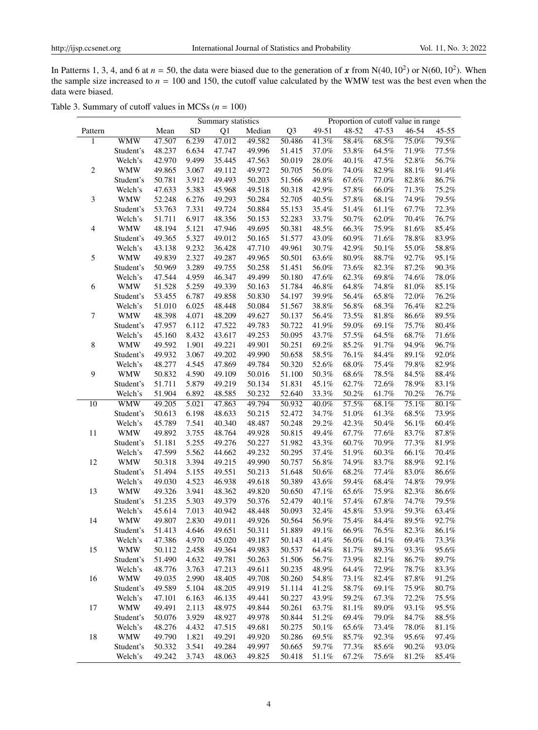In Patterns 1, 3, 4, and 6 at  $n = 50$ , the data were biased due to the generation of x from N(40, 10<sup>2</sup>) or N(60, 10<sup>2</sup>). When the sample size increased to  $n = 100$  and 150, the cutoff value calculated by the WMW test was the best even when the data were biased.

|                  |            |        |           | Summary statistics |        |                |          | Proportion of cutoff value in range |          |           |          |
|------------------|------------|--------|-----------|--------------------|--------|----------------|----------|-------------------------------------|----------|-----------|----------|
| Pattern          |            | Mean   | <b>SD</b> | Q1                 | Median | Q <sub>3</sub> | 49-51    | 48-52                               | 47-53    | $46 - 54$ | 45-55    |
| 1                | <b>WMW</b> | 47.507 | 6.239     | 47.012             | 49.582 | 50.486         | 41.3%    | 58.4%                               | 68.5%    | 75.0%     | 79.5%    |
|                  | Student's  | 48.237 | 6.634     | 47.747             | 49.996 | 51.415         | 37.0%    | 53.8%                               | 64.5%    | 71.9%     | 77.5%    |
|                  | Welch's    | 42.970 | 9.499     | 35.445             | 47.563 | 50.019         | 28.0%    | 40.1%                               | 47.5%    | $52.8\%$  | 56.7%    |
| $\sqrt{2}$       | <b>WMW</b> | 49.865 | 3.067     | 49.112             | 49.972 | 50.705         | 56.0%    | 74.0%                               | 82.9%    | $88.1\%$  | 91.4%    |
|                  | Student's  | 50.781 | 3.912     | 49.493             | 50.203 | 51.566         | 49.8%    | 67.6%                               | 77.0%    | 82.8%     | 86.7%    |
|                  | Welch's    | 47.633 | 5.383     | 45.968             | 49.518 | 50.318         | 42.9%    | 57.8%                               | 66.0%    | 71.3%     | $75.2\%$ |
| 3                | <b>WMW</b> | 52.248 | 6.276     | 49.293             | 50.284 | 52.705         | 40.5%    | 57.8%                               | 68.1%    | 74.9%     | 79.5%    |
|                  | Student's  | 53.763 | 7.331     | 49.724             | 50.884 | 55.153         | 35.4%    | 51.4%                               | 61.1%    | 67.7%     | 72.3%    |
|                  | Welch's    | 51.711 | 6.917     | 48.356             | 50.153 | 52.283         | 33.7%    | 50.7%                               | 62.0%    | 70.4%     | 76.7%    |
| $\overline{4}$   | <b>WMW</b> | 48.194 | 5.121     | 47.946             | 49.695 | 50.381         | 48.5%    | 66.3%                               | 75.9%    | 81.6%     | 85.4%    |
|                  | Student's  | 49.365 | 5.327     | 49.012             | 50.165 | 51.577         | 43.0%    | 60.9%                               | 71.6%    | 78.8%     | 83.9%    |
|                  | Welch's    | 43.138 | 9.232     | 36.428             | 47.710 | 49.961         | 30.7%    | 42.9%                               | 50.1%    | 55.0%     | 58.8%    |
| 5                | <b>WMW</b> | 49.839 | 2.327     | 49.287             | 49.965 | 50.501         | 63.6%    | 80.9%                               | 88.7%    | 92.7%     | 95.1%    |
|                  | Student's  | 50.969 | 3.289     | 49.755             | 50.258 | 51.451         | 56.0%    | 73.6%                               | 82.3%    | 87.2%     | 90.3%    |
|                  | Welch's    | 47.544 | 4.959     | 46.347             | 49.499 | 50.180         | 47.6%    | 62.3%                               | 69.8%    | 74.6%     | $78.0\%$ |
| 6                | <b>WMW</b> | 51.528 | 5.259     | 49.339             | 50.163 | 51.784         | 46.8%    | 64.8%                               | 74.8%    | 81.0%     | 85.1%    |
|                  | Student's  | 53.455 | 6.787     | 49.858             | 50.830 | 54.197         | 39.9%    | 56.4%                               | 65.8%    | 72.0%     | $76.2\%$ |
|                  | Welch's    | 51.010 | 6.025     | 48.448             | 50.084 | 51.567         | 38.8%    | 56.8%                               | 68.3%    | 76.4%     | $82.2\%$ |
| $\boldsymbol{7}$ | <b>WMW</b> | 48.398 | 4.071     | 48.209             | 49.627 | 50.137         | 56.4%    | 73.5%                               | 81.8%    | 86.6%     | 89.5%    |
|                  | Student's  | 47.957 | 6.112     | 47.522             | 49.783 | 50.722         | 41.9%    | 59.0%                               | 69.1%    | 75.7%     | 80.4%    |
|                  | Welch's    | 45.160 | 8.432     | 43.617             | 49.253 | 50.095         | 43.7%    | 57.5%                               | 64.5%    | $68.7\%$  | $71.6\%$ |
| $\,8\,$          | <b>WMW</b> | 49.592 | 1.901     | 49.221             | 49.901 | 50.251         | 69.2%    | 85.2%                               | 91.7%    | 94.9%     | 96.7%    |
|                  | Student's  | 49.932 | 3.067     | 49.202             | 49.990 | 50.658         | 58.5%    | 76.1%                               | 84.4%    | 89.1%     | 92.0%    |
|                  | Welch's    | 48.277 | 4.545     | 47.869             | 49.784 | 50.320         | 52.6%    | 68.0%                               | 75.4%    | 79.8%     | 82.9%    |
| 9                | <b>WMW</b> | 50.832 | 4.590     | 49.109             | 50.016 | 51.100         | 50.3%    | 68.6%                               | 78.5%    | 84.5%     | 88.4%    |
|                  | Student's  | 51.711 | 5.879     | 49.219             | 50.134 | 51.831         | 45.1%    | 62.7%                               | 72.6%    | 78.9%     | 83.1%    |
|                  | Welch's    | 51.904 | 6.892     | 48.585             | 50.232 | 52.640         | 33.3%    | 50.2%                               | 61.7%    | 70.2%     | 76.7%    |
| $\overline{10}$  | <b>WMW</b> | 49.205 | 5.021     | 47.863             | 49.794 | 50.932         | 40.0%    | 57.5%                               | 68.1%    | 75.1%     | $80.1\%$ |
|                  | Student's  | 50.613 | 6.198     | 48.633             | 50.215 | 52.472         | 34.7%    | 51.0%                               | 61.3%    | 68.5%     | 73.9%    |
|                  | Welch's    | 45.789 | 7.541     | 40.340             | 48.487 | 50.248         | 29.2%    | 42.3%                               | 50.4%    | 56.1%     | 60.4%    |
| 11               | <b>WMW</b> | 49.892 | 3.755     | 48.764             | 49.928 | 50.815         | 49.4%    | 67.7%                               | 77.6%    | 83.7%     | $87.8\%$ |
|                  | Student's  | 51.181 | 5.255     | 49.276             | 50.227 | 51.982         | 43.3%    | 60.7%                               | $70.9\%$ | 77.3%     | 81.9%    |
|                  | Welch's    | 47.599 | 5.562     | 44.662             | 49.232 | 50.295         | 37.4%    | 51.9%                               | 60.3%    | 66.1%     | 70.4%    |
| 12               | <b>WMW</b> | 50.318 | 3.394     | 49.215             | 49.990 | 50.757         | 56.8%    | 74.9%                               | 83.7%    | 88.9%     | 92.1%    |
|                  | Student's  | 51.494 | 5.155     | 49.551             | 50.213 | 51.648         | 50.6%    | 68.2%                               | 77.4%    | 83.0%     | 86.6%    |
|                  | Welch's    | 49.030 | 4.523     | 46.938             | 49.618 | 50.389         | 43.6%    | 59.4%                               | 68.4%    | 74.8%     | 79.9%    |
| 13               | <b>WMW</b> | 49.326 | 3.941     | 48.362             | 49.820 | 50.650         | 47.1%    | 65.6%                               | 75.9%    | 82.3%     | $86.6\%$ |
|                  | Student's  | 51.235 | 5.303     | 49.379             | 50.376 | 52.479         | 40.1%    | 57.4%                               | 67.8%    | 74.7%     | 79.5%    |
|                  | Welch's    | 45.614 | 7.013     | 40.942             | 48.448 | 50.093         | 32.4%    | 45.8%                               | 53.9%    | 59.3%     | 63.4%    |
| 14               | WMW        | 49.807 | 2.830     | 49.011             | 49.926 | 50.564         | 56.9%    | 75.4%                               | 84.4%    | 89.5%     | 92.7%    |
|                  | Student's  | 51.413 | 4.646     | 49.651             | 50.311 | 51.889         | 49.1%    | 66.9%                               | 76.5%    | 82.3%     | 86.1%    |
|                  | Welch's    | 47.386 | 4.970     | 45.020             | 49.187 | 50.143         | 41.4%    | 56.0%                               | 64.1%    | 69.4%     | 73.3%    |
| 15               | <b>WMW</b> | 50.112 | 2.458     | 49.364             | 49.983 | 50.537         | 64.4%    | 81.7%                               | 89.3%    | 93.3%     | 95.6%    |
|                  | Student's  | 51.490 | 4.632     | 49.781             | 50.263 | 51.506         | 56.7%    | 73.9%                               | 82.1%    | 86.7%     | 89.7%    |
|                  | Welch's    | 48.776 | 3.763     | 47.213             | 49.611 | 50.235         | 48.9%    | 64.4%                               | 72.9%    | 78.7%     | 83.3%    |
| 16               | <b>WMW</b> | 49.035 | 2.990     | 48.405             | 49.708 | 50.260         | 54.8%    | 73.1%                               | 82.4%    | 87.8%     | 91.2%    |
|                  | Student's  | 49.589 | 5.104     | 48.205             | 49.919 | 51.114         | 41.2%    | 58.7%                               | 69.1%    | 75.9%     | 80.7%    |
|                  | Welch's    | 47.101 | 6.163     | 46.135             | 49.441 | 50.227         | 43.9%    | 59.2%                               | 67.3%    | 72.2%     | 75.5%    |
| 17               | <b>WMW</b> | 49.491 | 2.113     | 48.975             | 49.844 | 50.261         | 63.7%    | 81.1%                               | 89.0%    | 93.1%     | 95.5%    |
|                  | Student's  | 50.076 | 3.929     | 48.927             | 49.978 | 50.844         | 51.2%    | 69.4%                               | 79.0%    | 84.7%     | $88.5\%$ |
|                  | Welch's    | 48.276 | 4.432     | 47.515             | 49.681 | 50.275         | $50.1\%$ | 65.6%                               | 73.4%    | 78.0%     | $81.1\%$ |
| 18               | <b>WMW</b> | 49.790 | 1.821     | 49.291             | 49.920 | 50.286         | 69.5%    | 85.7%                               | 92.3%    | 95.6%     | 97.4%    |
|                  | Student's  | 50.332 | 3.541     | 49.284             | 49.997 | 50.665         | 59.7%    | 77.3%                               | 85.6%    | 90.2%     | 93.0%    |
|                  |            |        |           |                    |        |                |          |                                     |          |           |          |

| Table 3. Summary of cutoff values in MCSs ( $n = 100$ ) |  |  |  |
|---------------------------------------------------------|--|--|--|
|---------------------------------------------------------|--|--|--|

Welch's 49.242 3.743 48.063 49.825 50.418 51.1% 67.2% 75.6% 81.2% 85.4%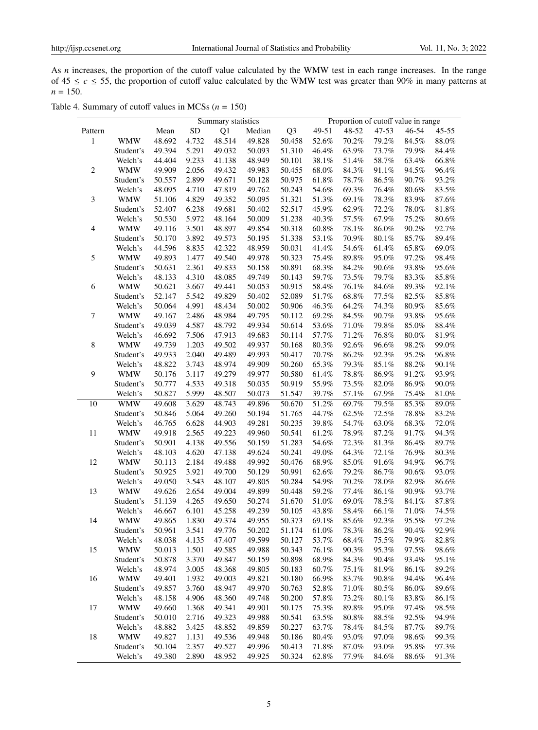As *n* increases, the proportion of the cutoff value calculated by the WMW test in each range increases. In the range of  $45 \le c \le 55$ , the proportion of cutoff value calculated by the WMW test was greater than 90% in many patterns at  $n = 150$ .

| Table 4. Summary of cutoff values in MCSs ( $n = 150$ ) |  |  |  |  |
|---------------------------------------------------------|--|--|--|--|
|---------------------------------------------------------|--|--|--|--|

|                          |            |        |           | Summary statistics |        |                |          | Proportion of cutoff value in range |          |          |           |
|--------------------------|------------|--------|-----------|--------------------|--------|----------------|----------|-------------------------------------|----------|----------|-----------|
| Pattern                  |            | Mean   | <b>SD</b> | Q <sub>1</sub>     | Median | Q <sub>3</sub> | 49-51    | 48-52                               | 47-53    | 46-54    | $45 - 55$ |
| 1                        | <b>WMW</b> | 48.692 | 4.732     | 48.514             | 49.828 | 50.458         | 52.6%    | 70.2%                               | 79.2%    | 84.5%    | 88.0%     |
|                          | Student's  | 49.394 | 5.291     | 49.032             | 50.093 | 51.310         | 46.4%    | 63.9%                               | 73.7%    | 79.9%    | 84.4%     |
|                          | Welch's    | 44.404 | 9.233     | 41.138             | 48.949 | 50.101         | 38.1%    | 51.4%                               | 58.7%    | 63.4%    | 66.8%     |
| $\sqrt{2}$               | <b>WMW</b> | 49.909 | 2.056     | 49.432             | 49.983 | 50.455         | 68.0%    | 84.3%                               | 91.1%    | 94.5%    | 96.4%     |
|                          | Student's  | 50.557 | 2.899     | 49.671             | 50.128 | 50.975         | 61.8%    | 78.7%                               | 86.5%    | 90.7%    | 93.2%     |
|                          | Welch's    | 48.095 | 4.710     | 47.819             | 49.762 | 50.243         | 54.6%    | 69.3%                               | 76.4%    | 80.6%    | 83.5%     |
| $\mathfrak{Z}$           | <b>WMW</b> | 51.106 | 4.829     | 49.352             | 50.095 | 51.321         | 51.3%    | 69.1%                               | 78.3%    | 83.9%    | 87.6%     |
|                          | Student's  | 52.407 | 6.238     | 49.681             | 50.402 | 52.517         | 45.9%    | 62.9%                               | 72.2%    | 78.0%    | 81.8%     |
|                          | Welch's    | 50.530 | 5.972     | 48.164             | 50.009 | 51.238         | 40.3%    | 57.5%                               | 67.9%    | 75.2%    | 80.6%     |
| $\overline{\mathcal{A}}$ | <b>WMW</b> | 49.116 | 3.501     | 48.897             | 49.854 | 50.318         | 60.8%    | 78.1%                               | 86.0%    | 90.2%    | 92.7%     |
|                          | Student's  | 50.170 | 3.892     | 49.573             | 50.195 | 51.338         | 53.1%    | 70.9%                               | 80.1%    | 85.7%    | 89.4%     |
|                          | Welch's    | 44.596 | 8.835     | 42.322             | 48.959 | 50.031         | 41.4%    | 54.6%                               | 61.4%    | 65.8%    | 69.0%     |
| 5                        |            |        |           | 49.540             | 49.978 | 50.323         | 75.4%    |                                     | 95.0%    | 97.2%    |           |
|                          | <b>WMW</b> | 49.893 | 1.477     |                    |        |                |          | 89.8%                               |          |          | 98.4%     |
|                          | Student's  | 50.631 | 2.361     | 49.833             | 50.158 | 50.891         | 68.3%    | 84.2%                               | 90.6%    | 93.8%    | 95.6%     |
|                          | Welch's    | 48.133 | 4.310     | 48.085             | 49.749 | 50.143         | 59.7%    | 73.5%                               | 79.7%    | 83.3%    | 85.8%     |
| 6                        | <b>WMW</b> | 50.621 | 3.667     | 49.441             | 50.053 | 50.915         | 58.4%    | 76.1%                               | 84.6%    | 89.3%    | 92.1%     |
|                          | Student's  | 52.147 | 5.542     | 49.829             | 50.402 | 52.089         | 51.7%    | 68.8%                               | 77.5%    | 82.5%    | 85.8%     |
|                          | Welch's    | 50.064 | 4.991     | 48.434             | 50.002 | 50.906         | 46.3%    | 64.2%                               | 74.3%    | 80.9%    | 85.6%     |
| 7                        | <b>WMW</b> | 49.167 | 2.486     | 48.984             | 49.795 | 50.112         | 69.2%    | 84.5%                               | 90.7%    | 93.8%    | 95.6%     |
|                          | Student's  | 49.039 | 4.587     | 48.792             | 49.934 | 50.614         | 53.6%    | 71.0%                               | 79.8%    | 85.0%    | 88.4%     |
|                          | Welch's    | 46.692 | 7.506     | 47.913             | 49.683 | 50.114         | 57.7%    | 71.2%                               | 76.8%    | 80.0%    | 81.9%     |
| $8\phantom{1}$           | <b>WMW</b> | 49.739 | 1.203     | 49.502             | 49.937 | 50.168         | 80.3%    | 92.6%                               | 96.6%    | 98.2%    | 99.0%     |
|                          | Student's  | 49.933 | 2.040     | 49.489             | 49.993 | 50.417         | 70.7%    | 86.2%                               | 92.3%    | 95.2%    | 96.8%     |
|                          | Welch's    | 48.822 | 3.743     | 48.974             | 49.909 | 50.260         | 65.3%    | 79.3%                               | 85.1%    | 88.2%    | 90.1%     |
| 9                        | <b>WMW</b> | 50.176 | 3.117     | 49.279             | 49.977 | 50.580         | 61.4%    | 78.8%                               | 86.9%    | 91.2%    | 93.9%     |
|                          | Student's  | 50.777 | 4.533     | 49.318             | 50.035 | 50.919         | 55.9%    | 73.5%                               | 82.0%    | 86.9%    | 90.0%     |
|                          | Welch's    | 50.827 | 5.999     | 48.507             | 50.073 | 51.547         | 39.7%    | 57.1%                               | 67.9%    | 75.4%    | 81.0%     |
| 10                       | <b>WMW</b> | 49.608 | 3.629     | 48.743             | 49.896 | 50.670         | 51.2%    | 69.7%                               | 79.5%    | 85.3%    | 89.0%     |
|                          | Student's  | 50.846 | 5.064     | 49.260             | 50.194 | 51.765         | 44.7%    | 62.5%                               | 72.5%    | 78.8%    | 83.2%     |
|                          | Welch's    | 46.765 | 6.628     | 44.903             | 49.281 | 50.235         | 39.8%    | 54.7%                               | 63.0%    | 68.3%    | 72.0%     |
| 11                       | <b>WMW</b> | 49.918 | 2.565     | 49.223             | 49.960 | 50.541         | 61.2%    | 78.9%                               | 87.2%    | 91.7%    | 94.3%     |
|                          | Student's  | 50.901 | 4.138     | 49.556             | 50.159 | 51.283         | 54.6%    | 72.3%                               | 81.3%    | 86.4%    | 89.7%     |
|                          | Welch's    | 48.103 | 4.620     | 47.138             | 49.624 | 50.241         | 49.0%    | 64.3%                               | 72.1%    | 76.9%    | 80.3%     |
| 12                       | <b>WMW</b> | 50.113 | 2.184     | 49.488             | 49.992 | 50.476         | 68.9%    | 85.0%                               | 91.6%    | 94.9%    | 96.7%     |
|                          | Student's  | 50.925 | 3.921     | 49.700             | 50.129 | 50.991         | 62.6%    | 79.2%                               | 86.7%    | 90.6%    | 93.0%     |
|                          | Welch's    | 49.050 | 3.543     | 48.107             | 49.805 | 50.284         | 54.9%    | 70.2%                               | 78.0%    | 82.9%    | 86.6%     |
| 13                       | <b>WMW</b> | 49.626 | 2.654     | 49.004             | 49.899 | 50.448         | 59.2%    | 77.4%                               | 86.1%    | 90.9%    | 93.7%     |
|                          | Student's  | 51.139 | 4.265     | 49.650             | 50.274 | 51.670         | 51.0%    | 69.0%                               | 78.5%    | 84.1%    | 87.8%     |
|                          | Welch's    | 46.667 | 6.101     | 45.258             | 49.239 | 50.105         | 43.8%    | 58.4%                               | 66.1%    | 71.0%    | 74.5%     |
| 14                       | <b>WMW</b> | 49.865 | 1.830     | 49.374             | 49.955 | 50.373         | 69.1%    | 85.6%                               | 92.3%    | 95.5%    | 97.2%     |
|                          | Student's  | 50.961 | 3.541     | 49.776             | 50.202 | 51.174         | 61.0%    | 78.3%                               | 86.2%    | 90.4%    | 92.9%     |
|                          | Welch's    | 48.038 | 4.135     | 47.407             | 49.599 | 50.127         | 53.7%    | 68.4%                               | 75.5%    | 79.9%    | 82.8%     |
| 15                       | <b>WMW</b> | 50.013 | 1.501     | 49.585             | 49.988 | 50.343         | 76.1%    | 90.3%                               | 95.3%    | 97.5%    | 98.6%     |
|                          | Student's  | 50.878 | 3.370     | 49.847             | 50.159 | 50.898         | 68.9%    | 84.3%                               | 90.4%    | 93.4%    | 95.1%     |
|                          | Welch's    | 48.974 | 3.005     | 48.368             | 49.805 | 50.183         | 60.7%    | 75.1%                               | 81.9%    | 86.1%    | 89.2%     |
| 16                       | <b>WMW</b> | 49.401 | 1.932     | 49.003             | 49.821 | 50.180         | 66.9%    | 83.7%                               | $90.8\%$ | 94.4%    | 96.4%     |
|                          | Student's  | 49.857 | 3.760     | 48.947             | 49.970 | 50.763         | 52.8%    | 71.0%                               | 80.5%    | 86.0%    | 89.6%     |
|                          | Welch's    | 48.158 | 4.906     | 48.360             | 49.748 | 50.200         | 57.8%    | 73.2%                               | 80.1%    | 83.8%    | 86.1%     |
| 17                       | <b>WMW</b> | 49.660 | 1.368     | 49.341             | 49.901 | 50.175         | 75.3%    | 89.8%                               | 95.0%    | 97.4%    | 98.5%     |
|                          | Student's  | 50.010 | 2.716     | 49.323             | 49.988 | 50.541         | 63.5%    | 80.8%                               | 88.5%    | 92.5%    | 94.9%     |
|                          | Welch's    | 48.882 | 3.425     | 48.852             | 49.859 | 50.227         | 63.7%    | 78.4%                               | 84.5%    | 87.7%    |           |
|                          |            |        |           |                    | 49.948 |                | 80.4%    |                                     |          | 98.6%    | 89.7%     |
| 18                       | <b>WMW</b> | 49.827 | 1.131     | 49.536             |        | 50.186         |          | 93.0%                               | 97.0%    |          | 99.3%     |
|                          | Student's  | 50.104 | 2.357     | 49.527             | 49.996 | 50.413         | 71.8%    | 87.0%                               | 93.0%    | 95.8%    | 97.3%     |
|                          | Welch's    | 49.380 | 2.890     | 48.952             | 49.925 | 50.324         | $62.8\%$ | 77.9%                               | 84.6%    | $88.6\%$ | 91.3%     |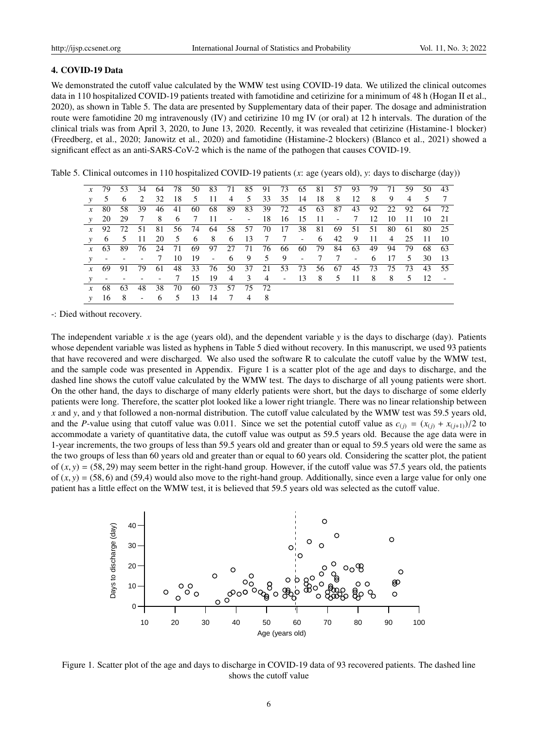#### 4. COVID-19 Data

We demonstrated the cutoff value calculated by the WMW test using COVID-19 data. We utilized the clinical outcomes data in 110 hospitalized COVID-19 patients treated with famotidine and cetirizine for a minimum of 48 h (Hogan II et al., 2020), as shown in Table 5. The data are presented by Supplementary data of their paper. The dosage and administration route were famotidine 20 mg intravenously (IV) and cetirizine 10 mg IV (or oral) at 12 h intervals. The duration of the clinical trials was from April 3, 2020, to June 13, 2020. Recently, it was revealed that cetirizine (Histamine-1 blocker) (Freedberg, et al., 2020; Janowitz et al., 2020) and famotidine (Histamine-2 blockers) (Blanco et al., 2021) showed a significant effect as an anti-SARS-CoV-2 which is the name of the pathogen that causes COVID-19.

Table 5. Clinical outcomes in 110 hospitalized COVID-19 patients (*x*: age (years old), *y*: days to discharge (day))

|                       |     |                                     |                                     |                                                    |    |                             |      |                |             |       |  |                               |                                                               |                                                     | 59                                   | 50                                                                                                                                                                                                                                                                                    | 43                                                                   |
|-----------------------|-----|-------------------------------------|-------------------------------------|----------------------------------------------------|----|-----------------------------|------|----------------|-------------|-------|--|-------------------------------|---------------------------------------------------------------|-----------------------------------------------------|--------------------------------------|---------------------------------------------------------------------------------------------------------------------------------------------------------------------------------------------------------------------------------------------------------------------------------------|----------------------------------------------------------------------|
| 5                     | 6   | 2                                   |                                     |                                                    |    |                             |      |                |             |       |  |                               |                                                               |                                                     | 4                                    |                                                                                                                                                                                                                                                                                       | $\overline{7}$                                                       |
| - 80<br>$\mathcal{X}$ |     | 39                                  |                                     |                                                    |    |                             |      |                |             |       |  |                               |                                                               |                                                     |                                      |                                                                                                                                                                                                                                                                                       |                                                                      |
| 20                    | -29 |                                     |                                     |                                                    |    |                             |      |                |             |       |  |                               |                                                               | - 10                                                | - 11                                 | -10-                                                                                                                                                                                                                                                                                  | - 21                                                                 |
|                       |     |                                     |                                     |                                                    |    |                             |      |                |             |       |  |                               |                                                               |                                                     |                                      |                                                                                                                                                                                                                                                                                       | 80 25                                                                |
| 6                     |     | $-11$                               |                                     |                                                    |    |                             |      |                |             |       |  |                               |                                                               |                                                     |                                      | $\overline{11}$                                                                                                                                                                                                                                                                       | - 10                                                                 |
|                       |     |                                     |                                     |                                                    |    |                             |      |                |             |       |  |                               |                                                               | 94                                                  | -79                                  | -68                                                                                                                                                                                                                                                                                   | - 63                                                                 |
|                       |     |                                     |                                     |                                                    |    |                             |      |                |             |       |  |                               |                                                               |                                                     |                                      | 30                                                                                                                                                                                                                                                                                    | -13                                                                  |
| $x = 69$              | 91. | 79                                  | 61                                  |                                                    |    |                             |      |                |             |       |  |                               |                                                               |                                                     |                                      |                                                                                                                                                                                                                                                                                       |                                                                      |
|                       |     |                                     |                                     |                                                    |    |                             |      |                |             |       |  |                               |                                                               |                                                     |                                      |                                                                                                                                                                                                                                                                                       |                                                                      |
| -68                   | 63  | 48                                  | 38                                  |                                                    |    |                             |      |                |             |       |  |                               |                                                               |                                                     |                                      |                                                                                                                                                                                                                                                                                       |                                                                      |
|                       |     |                                     |                                     |                                                    |    |                             |      | $\overline{4}$ |             |       |  |                               |                                                               |                                                     |                                      |                                                                                                                                                                                                                                                                                       |                                                                      |
|                       |     | - 58<br>$x \quad 92$<br>- 5<br>16 8 | <i>x</i> 79 53 34<br>$7\phantom{0}$ | $x\quad 63\quad 89\quad 76$<br>$- - - 7$<br>$\sim$ | 46 | $\overline{7}$<br>$-6$ 5 13 | - 14 | $7\phantom{0}$ | 70 60 73 57 | 75 72 |  | 24 71 69 97 27 71 76 66 60 79 | 32 18 5 11 4 5 33 35 14 18 8<br>41 60 68 89 83 39 72 45 63 87 | 12 8<br>8 6 7 11 - - 18 16 15 11 - 7 12<br>84 63 49 | - 9<br>20 5 6 8 6 13 7 7 - 6 42 9 11 | 64 78 50 83 71 85 91 73 65 81 57 93 79 71<br>43 92 22 92<br>72 51 81 56 74 64 58 57 70 17 38 81 69 51 51 80 61<br>4 25<br>$10 \quad 19 \quad - \quad 6 \quad 9 \quad 5 \quad 9 \quad - \quad 7 \quad 7 \quad - \quad 6 \quad 17 \quad 5$<br>48 33 76 50 37 21 53 73 56 67 45 73 75 73 | 5 <sup>5</sup><br>64 72<br>43 55<br>15 19 4 3 4 - 13 8 5 11 8 8 5 12 |

-: Died without recovery.

The independent variable x is the age (years old), and the dependent variable  $y$  is the days to discharge (day). Patients whose dependent variable was listed as hyphens in Table 5 died without recovery. In this manuscript, we used 93 patients that have recovered and were discharged. We also used the software R to calculate the cutoff value by the WMW test, and the sample code was presented in Appendix. Figure 1 is a scatter plot of the age and days to discharge, and the dashed line shows the cutoff value calculated by the WMW test. The days to discharge of all young patients were short. On the other hand, the days to discharge of many elderly patients were short, but the days to discharge of some elderly patients were long. Therefore, the scatter plot looked like a lower right triangle. There was no linear relationship between *x* and *y*, and *y* that followed a non-normal distribution. The cutoff value calculated by the WMW test was 59.5 years old, and the *P*-value using that cutoff value was 0.011. Since we set the potential cutoff value as  $c_{(j)} = (x_{(j)} + x_{(j+1)})/2$  to accommodate a variety of quantitative data, the cutoff value was output as 59.5 years old. Because the age data were in 1-year increments, the two groups of less than 59.5 years old and greater than or equal to 59.5 years old were the same as the two groups of less than 60 years old and greater than or equal to 60 years old. Considering the scatter plot, the patient of  $(x, y) = (58, 29)$  may seem better in the right-hand group. However, if the cutoff value was 57.5 years old, the patients of  $(x, y) = (58, 6)$  and  $(59, 4)$  would also move to the right-hand group. Additionally, since even a large value for only one patient has a little effect on the WMW test, it is believed that 59.5 years old was selected as the cutoff value.



Figure 1. Scatter plot of the age and days to discharge in COVID-19 data of 93 recovered patients. The dashed line shows the cutoff value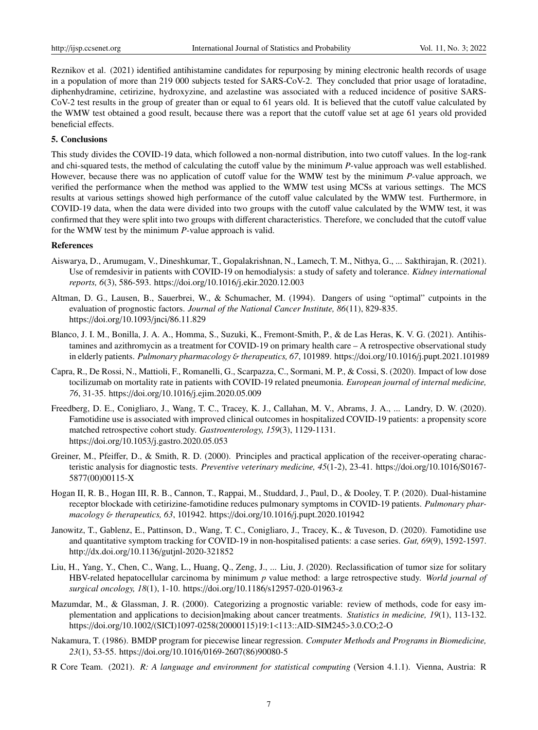Reznikov et al. (2021) identified antihistamine candidates for repurposing by mining electronic health records of usage in a population of more than 219 000 subjects tested for SARS-CoV-2. They concluded that prior usage of loratadine, diphenhydramine, cetirizine, hydroxyzine, and azelastine was associated with a reduced incidence of positive SARS-CoV-2 test results in the group of greater than or equal to 61 years old. It is believed that the cutoff value calculated by the WMW test obtained a good result, because there was a report that the cutoff value set at age 61 years old provided beneficial effects.

## 5. Conclusions

This study divides the COVID-19 data, which followed a non-normal distribution, into two cutoff values. In the log-rank and chi-squared tests, the method of calculating the cutoff value by the minimum *P*-value approach was well established. However, because there was no application of cutoff value for the WMW test by the minimum *P*-value approach, we verified the performance when the method was applied to the WMW test using MCSs at various settings. The MCS results at various settings showed high performance of the cutoff value calculated by the WMW test. Furthermore, in COVID-19 data, when the data were divided into two groups with the cutoff value calculated by the WMW test, it was confirmed that they were split into two groups with different characteristics. Therefore, we concluded that the cutoff value for the WMW test by the minimum *P*-value approach is valid.

#### References

- Aiswarya, D., Arumugam, V., Dineshkumar, T., Gopalakrishnan, N., Lamech, T. M., Nithya, G., ... Sakthirajan, R. (2021). Use of remdesivir in patients with COVID-19 on hemodialysis: a study of safety and tolerance. *Kidney international reports, 6*(3), 586-593. https://doi.org/10.1016/j.ekir.2020.12.003
- Altman, D. G., Lausen, B., Sauerbrei, W., & Schumacher, M. (1994). Dangers of using "optimal" cutpoints in the evaluation of prognostic factors. *Journal of the National Cancer Institute, 86*(11), 829-835. https://doi.org/10.1093/jnci/86.11.829
- Blanco, J. I. M., Bonilla, J. A. A., Homma, S., Suzuki, K., Fremont-Smith, P., & de Las Heras, K. V. G. (2021). Antihistamines and azithromycin as a treatment for COVID-19 on primary health care – A retrospective observational study in elderly patients. *Pulmonary pharmacology* & *therapeutics*, 67, 101989. https://doi.org/10.1016/j.pupt.2021.101989
- Capra, R., De Rossi, N., Mattioli, F., Romanelli, G., Scarpazza, C., Sormani, M. P., & Cossi, S. (2020). Impact of low dose tocilizumab on mortality rate in patients with COVID-19 related pneumonia. *European journal of internal medicine, 76*, 31-35. https://doi.org/10.1016/j.ejim.2020.05.009
- Freedberg, D. E., Conigliaro, J., Wang, T. C., Tracey, K. J., Callahan, M. V., Abrams, J. A., ... Landry, D. W. (2020). Famotidine use is associated with improved clinical outcomes in hospitalized COVID-19 patients: a propensity score matched retrospective cohort study. *Gastroenterology, 159*(3), 1129-1131. https://doi.org/10.1053/j.gastro.2020.05.053
- Greiner, M., Pfeiffer, D., & Smith, R. D. (2000). Principles and practical application of the receiver-operating characteristic analysis for diagnostic tests. *Preventive veterinary medicine, 45*(1-2), 23-41. https://doi.org/10.1016/S0167- 5877(00)00115-X
- Hogan II, R. B., Hogan III, R. B., Cannon, T., Rappai, M., Studdard, J., Paul, D., & Dooley, T. P. (2020). Dual-histamine receptor blockade with cetirizine-famotidine reduces pulmonary symptoms in COVID-19 patients. *Pulmonary pharmacology* & *therapeutics, 63*, 101942. https://doi.org/10.1016/j.pupt.2020.101942
- Janowitz, T., Gablenz, E., Pattinson, D., Wang, T. C., Conigliaro, J., Tracey, K., & Tuveson, D. (2020). Famotidine use and quantitative symptom tracking for COVID-19 in non-hospitalised patients: a case series. *Gut, 69*(9), 1592-1597. http://dx.doi.org/10.1136/gutjnl-2020-321852
- Liu, H., Yang, Y., Chen, C., Wang, L., Huang, Q., Zeng, J., ... Liu, J. (2020). Reclassification of tumor size for solitary HBV-related hepatocellular carcinoma by minimum *p* value method: a large retrospective study. *World journal of surgical oncology, 18*(1), 1-10. https://doi.org/10.1186/s12957-020-01963-z
- Mazumdar, M., & Glassman, J. R. (2000). Categorizing a prognostic variable: review of methods, code for easy implementation and applications to decision]making about cancer treatments. *Statistics in medicine, 19*(1), 113-132. https://doi.org/10.1002/(SICI)1097-0258(20000115)19:1<113::AID-SIM245>3.0.CO;2-O
- Nakamura, T. (1986). BMDP program for piecewise linear regression. *Computer Methods and Programs in Biomedicine, 23*(1), 53-55. https://doi.org/10.1016/0169-2607(86)90080-5
- R Core Team. (2021). *R: A language and environment for statistical computing* (Version 4.1.1). Vienna, Austria: R